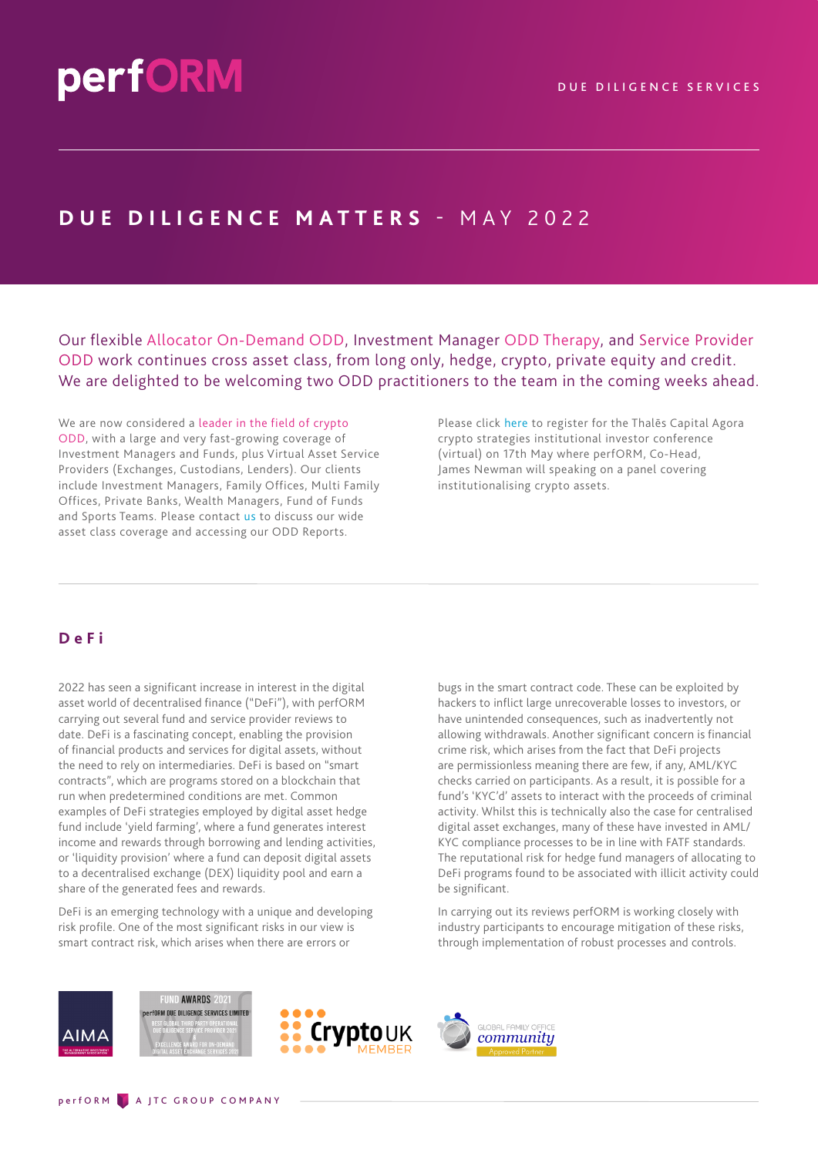## **DUE DILIGENCE MATTERS** - M A Y 2 0 2 2

Our flexible Allocator On-Demand ODD, Investment Manager ODD Therapy, and Service Provider ODD work continues cross asset class, from long only, hedge, crypto, private equity and credit. We are delighted to be welcoming two ODD practitioners to the team in the coming weeks ahead.

We are now considered a leader in the field of crypto ODD, with a large and very fast-growing coverage of Investment Managers and Funds, plus Virtual Asset Service Providers (Exchanges, Custodians, Lenders). Our clients include Investment Managers, Family Offices, Multi Family Offices, Private Banks, Wealth Managers, Fund of Funds and Sports Teams. Please contact [us](mailto:info@performdd.com) to discuss our wide asset class coverage and accessing our ODD Reports.

Please click [here](https://thales.edgefolio.com/app/events/ac-crypto-strategies-2022-05-17/) to register for the Thalēs Capital Agora crypto strategies institutional investor conference (virtual) on 17th May where perfORM, Co-Head, James Newman will speaking on a panel covering institutionalising crypto assets.

## **DeFi**

2022 has seen a significant increase in interest in the digital asset world of decentralised finance ("DeFi"), with perfORM carrying out several fund and service provider reviews to date. DeFi is a fascinating concept, enabling the provision of financial products and services for digital assets, without the need to rely on intermediaries. DeFi is based on "smart contracts", which are programs stored on a blockchain that run when predetermined conditions are met. Common examples of DeFi strategies employed by digital asset hedge fund include 'yield farming', where a fund generates interest income and rewards through borrowing and lending activities, or 'liquidity provision' where a fund can deposit digital assets to a decentralised exchange (DEX) liquidity pool and earn a share of the generated fees and rewards.

DeFi is an emerging technology with a unique and developing risk profile. One of the most significant risks in our view is smart contract risk, which arises when there are errors or

bugs in the smart contract code. These can be exploited by hackers to inflict large unrecoverable losses to investors, or have unintended consequences, such as inadvertently not allowing withdrawals. Another significant concern is financial crime risk, which arises from the fact that DeFi projects are permissionless meaning there are few, if any, AML/KYC checks carried on participants. As a result, it is possible for a fund's 'KYC'd' assets to interact with the proceeds of criminal activity. Whilst this is technically also the case for centralised digital asset exchanges, many of these have invested in AML/ KYC compliance processes to be in line with FATF standards. The reputational risk for hedge fund managers of allocating to DeFi programs found to be associated with illicit activity could be significant.

In carrying out its reviews perfORM is working closely with industry participants to encourage mitigation of these risks, through implementation of robust processes and controls.



ND AWARDS 2021 *Form due diligence services limited*